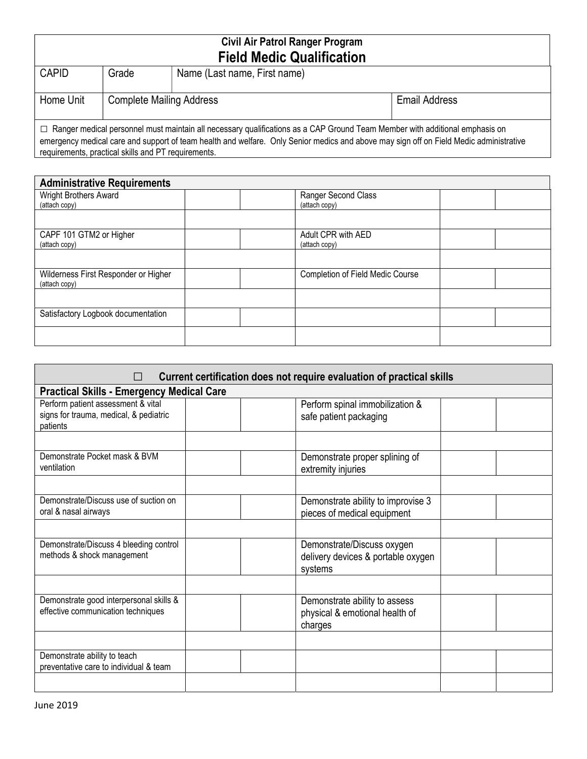| Civil Air Patrol Ranger Program                                                                                                                                                                                                                                                                                                     |                                 |                              |                      |  |  |
|-------------------------------------------------------------------------------------------------------------------------------------------------------------------------------------------------------------------------------------------------------------------------------------------------------------------------------------|---------------------------------|------------------------------|----------------------|--|--|
| <b>Field Medic Qualification</b>                                                                                                                                                                                                                                                                                                    |                                 |                              |                      |  |  |
| <b>CAPID</b>                                                                                                                                                                                                                                                                                                                        | Grade                           | Name (Last name, First name) |                      |  |  |
| Home Unit                                                                                                                                                                                                                                                                                                                           | <b>Complete Mailing Address</b> |                              | <b>Email Address</b> |  |  |
| $\Box$ Ranger medical personnel must maintain all necessary qualifications as a CAP Ground Team Member with additional emphasis on<br>emergency medical care and support of team health and welfare. Only Senior medics and above may sign off on Field Medic administrative<br>requirements, practical skills and PT requirements. |                                 |                              |                      |  |  |

| <b>Administrative Requirements</b>                    |  |                                  |  |  |
|-------------------------------------------------------|--|----------------------------------|--|--|
| Wright Brothers Award                                 |  | Ranger Second Class              |  |  |
| (attach copy)                                         |  | (attach copy)                    |  |  |
|                                                       |  |                                  |  |  |
| CAPF 101 GTM2 or Higher                               |  | Adult CPR with AED               |  |  |
| (attach copy)                                         |  | (attach copy)                    |  |  |
|                                                       |  |                                  |  |  |
| Wilderness First Responder or Higher<br>(attach copy) |  | Completion of Field Medic Course |  |  |
|                                                       |  |                                  |  |  |
| Satisfactory Logbook documentation                    |  |                                  |  |  |
|                                                       |  |                                  |  |  |

| Current certification does not require evaluation of practical skills                    |  |                                                                             |  |  |
|------------------------------------------------------------------------------------------|--|-----------------------------------------------------------------------------|--|--|
| <b>Practical Skills - Emergency Medical Care</b>                                         |  |                                                                             |  |  |
| Perform patient assessment & vital<br>signs for trauma, medical, & pediatric<br>patients |  | Perform spinal immobilization &<br>safe patient packaging                   |  |  |
| Demonstrate Pocket mask & BVM<br>ventilation                                             |  | Demonstrate proper splining of<br>extremity injuries                        |  |  |
| Demonstrate/Discuss use of suction on<br>oral & nasal airways                            |  | Demonstrate ability to improvise 3<br>pieces of medical equipment           |  |  |
| Demonstrate/Discuss 4 bleeding control<br>methods & shock management                     |  | Demonstrate/Discuss oxygen<br>delivery devices & portable oxygen<br>systems |  |  |
|                                                                                          |  |                                                                             |  |  |
| Demonstrate good interpersonal skills &<br>effective communication techniques            |  | Demonstrate ability to assess<br>physical & emotional health of<br>charges  |  |  |
|                                                                                          |  |                                                                             |  |  |
| Demonstrate ability to teach<br>preventative care to individual & team                   |  |                                                                             |  |  |
|                                                                                          |  |                                                                             |  |  |